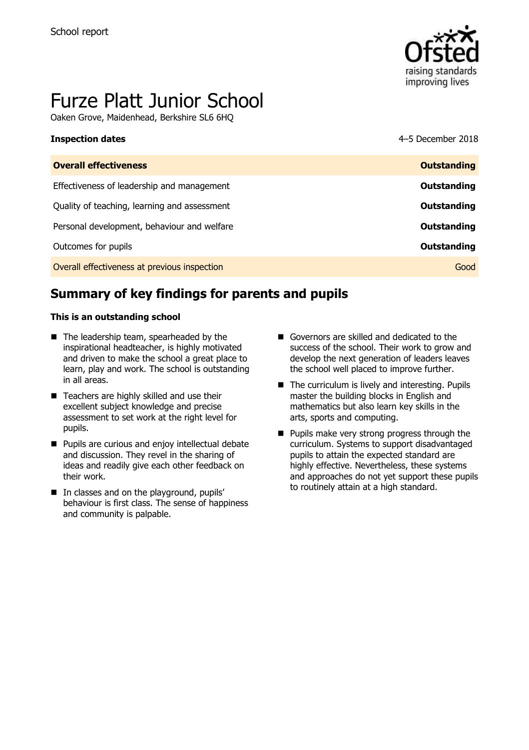

# Furze Platt Junior School

Oaken Grove, Maidenhead, Berkshire SL6 6HQ

| נוואפכנוטוו טמנכא                            | <b>J DUCHING ZUID</b> |
|----------------------------------------------|-----------------------|
| <b>Overall effectiveness</b>                 | <b>Outstanding</b>    |
| Effectiveness of leadership and management   | Outstanding           |
| Quality of teaching, learning and assessment | Outstanding           |
| Personal development, behaviour and welfare  | <b>Outstanding</b>    |
| Outcomes for pupils                          | Outstanding           |
| Overall effectiveness at previous inspection | Good                  |

# **Summary of key findings for parents and pupils**

#### **This is an outstanding school**

- The leadership team, spearheaded by the inspirational headteacher, is highly motivated and driven to make the school a great place to learn, play and work. The school is outstanding in all areas.
- Teachers are highly skilled and use their excellent subject knowledge and precise assessment to set work at the right level for pupils.
- **Pupils are curious and enjoy intellectual debate** and discussion. They revel in the sharing of ideas and readily give each other feedback on their work.
- $\blacksquare$  In classes and on the playground, pupils' behaviour is first class. The sense of happiness and community is palpable.
- Governors are skilled and dedicated to the success of the school. Their work to grow and develop the next generation of leaders leaves the school well placed to improve further.
- The curriculum is lively and interesting. Pupils master the building blocks in English and mathematics but also learn key skills in the arts, sports and computing.
- **Pupils make very strong progress through the** curriculum. Systems to support disadvantaged pupils to attain the expected standard are highly effective. Nevertheless, these systems and approaches do not yet support these pupils to routinely attain at a high standard.

**Inspection dates** 4–5 December 2018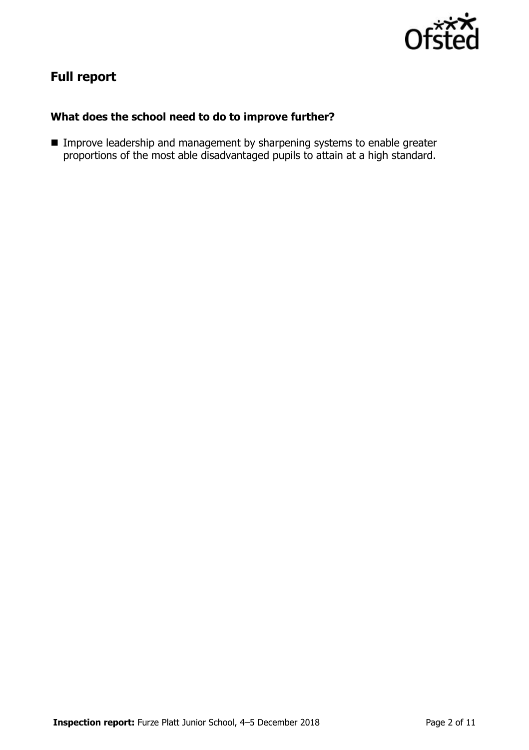

# **Full report**

### **What does the school need to do to improve further?**

**IMPROVE LEADERSHIP AND MANAGEMENT CONCRETED MANAGEMENT IN THE IMPROVE LEADERSHIP IN STARKS** proportions of the most able disadvantaged pupils to attain at a high standard.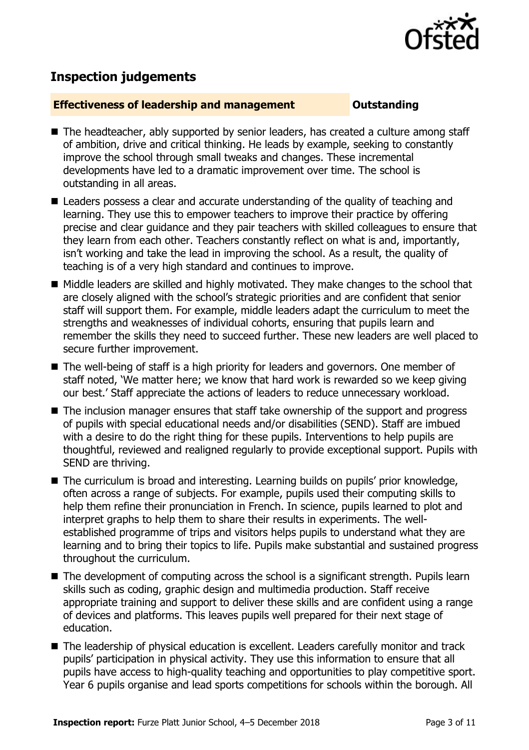

## **Inspection judgements**

#### **Effectiveness of leadership and management Cultum Outstanding**

- The headteacher, ably supported by senior leaders, has created a culture among staff of ambition, drive and critical thinking. He leads by example, seeking to constantly improve the school through small tweaks and changes. These incremental developments have led to a dramatic improvement over time. The school is outstanding in all areas.
- Leaders possess a clear and accurate understanding of the quality of teaching and learning. They use this to empower teachers to improve their practice by offering precise and clear guidance and they pair teachers with skilled colleagues to ensure that they learn from each other. Teachers constantly reflect on what is and, importantly, isn't working and take the lead in improving the school. As a result, the quality of teaching is of a very high standard and continues to improve.
- Middle leaders are skilled and highly motivated. They make changes to the school that are closely aligned with the school's strategic priorities and are confident that senior staff will support them. For example, middle leaders adapt the curriculum to meet the strengths and weaknesses of individual cohorts, ensuring that pupils learn and remember the skills they need to succeed further. These new leaders are well placed to secure further improvement.
- The well-being of staff is a high priority for leaders and governors. One member of staff noted, 'We matter here; we know that hard work is rewarded so we keep giving our best.' Staff appreciate the actions of leaders to reduce unnecessary workload.
- The inclusion manager ensures that staff take ownership of the support and progress of pupils with special educational needs and/or disabilities (SEND). Staff are imbued with a desire to do the right thing for these pupils. Interventions to help pupils are thoughtful, reviewed and realigned regularly to provide exceptional support. Pupils with SEND are thriving.
- The curriculum is broad and interesting. Learning builds on pupils' prior knowledge, often across a range of subjects. For example, pupils used their computing skills to help them refine their pronunciation in French. In science, pupils learned to plot and interpret graphs to help them to share their results in experiments. The wellestablished programme of trips and visitors helps pupils to understand what they are learning and to bring their topics to life. Pupils make substantial and sustained progress throughout the curriculum.
- The development of computing across the school is a significant strength. Pupils learn skills such as coding, graphic design and multimedia production. Staff receive appropriate training and support to deliver these skills and are confident using a range of devices and platforms. This leaves pupils well prepared for their next stage of education.
- The leadership of physical education is excellent. Leaders carefully monitor and track pupils' participation in physical activity. They use this information to ensure that all pupils have access to high-quality teaching and opportunities to play competitive sport. Year 6 pupils organise and lead sports competitions for schools within the borough. All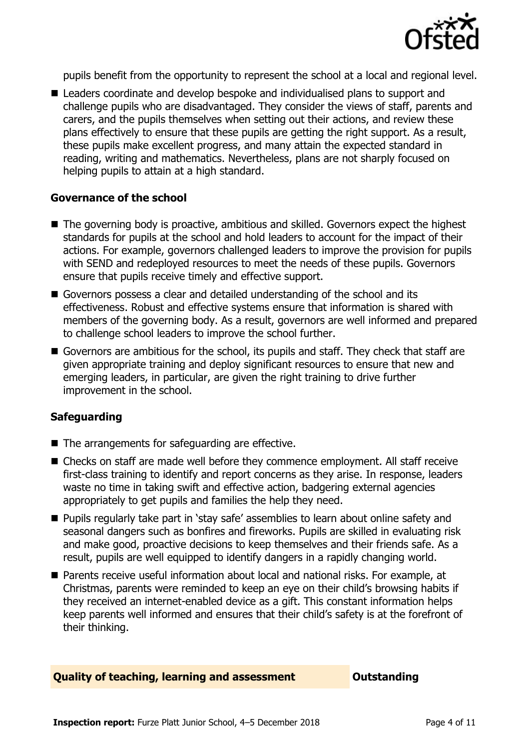

pupils benefit from the opportunity to represent the school at a local and regional level.

■ Leaders coordinate and develop bespoke and individualised plans to support and challenge pupils who are disadvantaged. They consider the views of staff, parents and carers, and the pupils themselves when setting out their actions, and review these plans effectively to ensure that these pupils are getting the right support. As a result, these pupils make excellent progress, and many attain the expected standard in reading, writing and mathematics. Nevertheless, plans are not sharply focused on helping pupils to attain at a high standard.

#### **Governance of the school**

- The governing body is proactive, ambitious and skilled. Governors expect the highest standards for pupils at the school and hold leaders to account for the impact of their actions. For example, governors challenged leaders to improve the provision for pupils with SEND and redeployed resources to meet the needs of these pupils. Governors ensure that pupils receive timely and effective support.
- Governors possess a clear and detailed understanding of the school and its effectiveness. Robust and effective systems ensure that information is shared with members of the governing body. As a result, governors are well informed and prepared to challenge school leaders to improve the school further.
- Governors are ambitious for the school, its pupils and staff. They check that staff are given appropriate training and deploy significant resources to ensure that new and emerging leaders, in particular, are given the right training to drive further improvement in the school.

#### **Safeguarding**

- $\blacksquare$  The arrangements for safeguarding are effective.
- Checks on staff are made well before they commence employment. All staff receive first-class training to identify and report concerns as they arise. In response, leaders waste no time in taking swift and effective action, badgering external agencies appropriately to get pupils and families the help they need.
- **Pupils regularly take part in 'stay safe' assemblies to learn about online safety and** seasonal dangers such as bonfires and fireworks. Pupils are skilled in evaluating risk and make good, proactive decisions to keep themselves and their friends safe. As a result, pupils are well equipped to identify dangers in a rapidly changing world.
- Parents receive useful information about local and national risks. For example, at Christmas, parents were reminded to keep an eye on their child's browsing habits if they received an internet-enabled device as a gift. This constant information helps keep parents well informed and ensures that their child's safety is at the forefront of their thinking.

#### **Quality of teaching, learning and assessment Outstanding**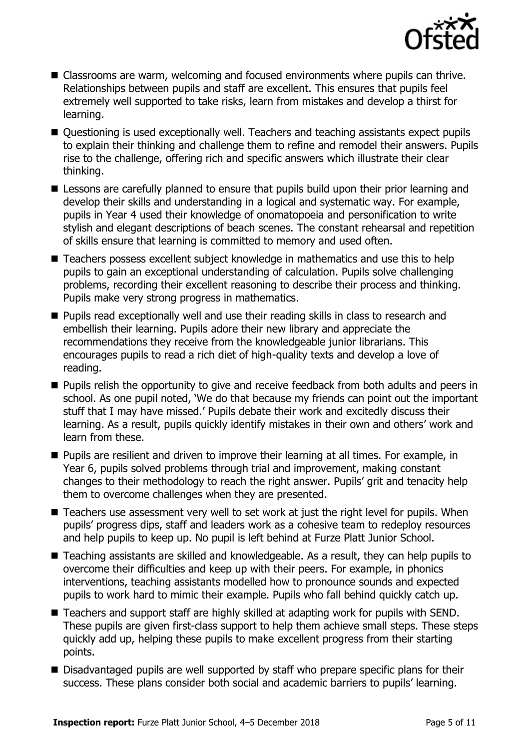

- Classrooms are warm, welcoming and focused environments where pupils can thrive. Relationships between pupils and staff are excellent. This ensures that pupils feel extremely well supported to take risks, learn from mistakes and develop a thirst for learning.
- Questioning is used exceptionally well. Teachers and teaching assistants expect pupils to explain their thinking and challenge them to refine and remodel their answers. Pupils rise to the challenge, offering rich and specific answers which illustrate their clear thinking.
- **E** Lessons are carefully planned to ensure that pupils build upon their prior learning and develop their skills and understanding in a logical and systematic way. For example, pupils in Year 4 used their knowledge of onomatopoeia and personification to write stylish and elegant descriptions of beach scenes. The constant rehearsal and repetition of skills ensure that learning is committed to memory and used often.
- Teachers possess excellent subject knowledge in mathematics and use this to help pupils to gain an exceptional understanding of calculation. Pupils solve challenging problems, recording their excellent reasoning to describe their process and thinking. Pupils make very strong progress in mathematics.
- **Pupils read exceptionally well and use their reading skills in class to research and** embellish their learning. Pupils adore their new library and appreciate the recommendations they receive from the knowledgeable junior librarians. This encourages pupils to read a rich diet of high-quality texts and develop a love of reading.
- **Pupils relish the opportunity to give and receive feedback from both adults and peers in** school. As one pupil noted, 'We do that because my friends can point out the important stuff that I may have missed.' Pupils debate their work and excitedly discuss their learning. As a result, pupils quickly identify mistakes in their own and others' work and learn from these.
- **Pupils are resilient and driven to improve their learning at all times. For example, in** Year 6, pupils solved problems through trial and improvement, making constant changes to their methodology to reach the right answer. Pupils' grit and tenacity help them to overcome challenges when they are presented.
- Teachers use assessment very well to set work at just the right level for pupils. When pupils' progress dips, staff and leaders work as a cohesive team to redeploy resources and help pupils to keep up. No pupil is left behind at Furze Platt Junior School.
- Teaching assistants are skilled and knowledgeable. As a result, they can help pupils to overcome their difficulties and keep up with their peers. For example, in phonics interventions, teaching assistants modelled how to pronounce sounds and expected pupils to work hard to mimic their example. Pupils who fall behind quickly catch up.
- Teachers and support staff are highly skilled at adapting work for pupils with SEND. These pupils are given first-class support to help them achieve small steps. These steps quickly add up, helping these pupils to make excellent progress from their starting points.
- Disadvantaged pupils are well supported by staff who prepare specific plans for their success. These plans consider both social and academic barriers to pupils' learning.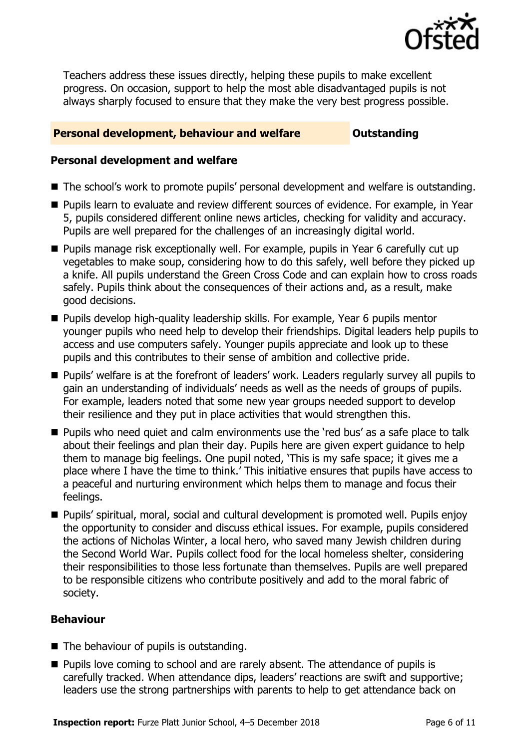

Teachers address these issues directly, helping these pupils to make excellent progress. On occasion, support to help the most able disadvantaged pupils is not always sharply focused to ensure that they make the very best progress possible.

#### **Personal development, behaviour and welfare <b>COULTS** Outstanding

#### **Personal development and welfare**

- The school's work to promote pupils' personal development and welfare is outstanding.
- **Pupils learn to evaluate and review different sources of evidence. For example, in Year** 5, pupils considered different online news articles, checking for validity and accuracy. Pupils are well prepared for the challenges of an increasingly digital world.
- Pupils manage risk exceptionally well. For example, pupils in Year 6 carefully cut up vegetables to make soup, considering how to do this safely, well before they picked up a knife. All pupils understand the Green Cross Code and can explain how to cross roads safely. Pupils think about the consequences of their actions and, as a result, make good decisions.
- **Pupils develop high-quality leadership skills. For example, Year 6 pupils mentor** younger pupils who need help to develop their friendships. Digital leaders help pupils to access and use computers safely. Younger pupils appreciate and look up to these pupils and this contributes to their sense of ambition and collective pride.
- Pupils' welfare is at the forefront of leaders' work. Leaders regularly survey all pupils to gain an understanding of individuals' needs as well as the needs of groups of pupils. For example, leaders noted that some new year groups needed support to develop their resilience and they put in place activities that would strengthen this.
- **Pupils who need quiet and calm environments use the 'red bus' as a safe place to talk** about their feelings and plan their day. Pupils here are given expert guidance to help them to manage big feelings. One pupil noted, 'This is my safe space; it gives me a place where I have the time to think.' This initiative ensures that pupils have access to a peaceful and nurturing environment which helps them to manage and focus their feelings.
- Pupils' spiritual, moral, social and cultural development is promoted well. Pupils enjoy the opportunity to consider and discuss ethical issues. For example, pupils considered the actions of Nicholas Winter, a local hero, who saved many Jewish children during the Second World War. Pupils collect food for the local homeless shelter, considering their responsibilities to those less fortunate than themselves. Pupils are well prepared to be responsible citizens who contribute positively and add to the moral fabric of society.

### **Behaviour**

- The behaviour of pupils is outstanding.
- **Pupils love coming to school and are rarely absent. The attendance of pupils is** carefully tracked. When attendance dips, leaders' reactions are swift and supportive; leaders use the strong partnerships with parents to help to get attendance back on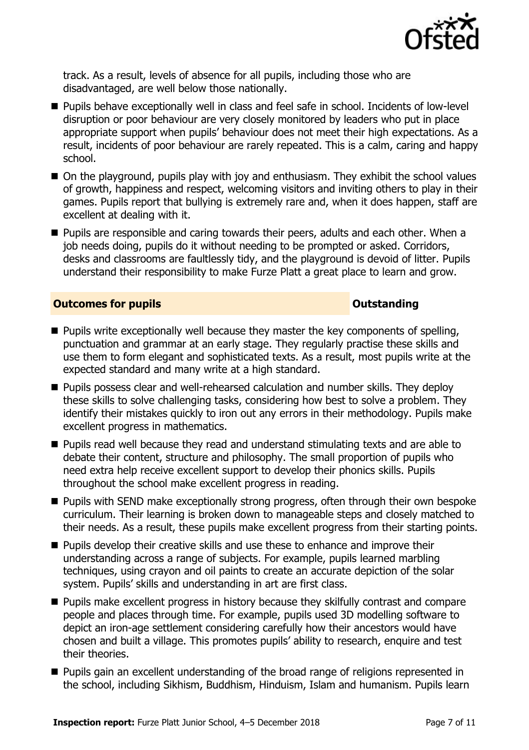

track. As a result, levels of absence for all pupils, including those who are disadvantaged, are well below those nationally.

- **Pupils behave exceptionally well in class and feel safe in school. Incidents of low-level** disruption or poor behaviour are very closely monitored by leaders who put in place appropriate support when pupils' behaviour does not meet their high expectations. As a result, incidents of poor behaviour are rarely repeated. This is a calm, caring and happy school.
- On the playground, pupils play with joy and enthusiasm. They exhibit the school values of growth, happiness and respect, welcoming visitors and inviting others to play in their games. Pupils report that bullying is extremely rare and, when it does happen, staff are excellent at dealing with it.
- **Pupils are responsible and caring towards their peers, adults and each other. When a** job needs doing, pupils do it without needing to be prompted or asked. Corridors, desks and classrooms are faultlessly tidy, and the playground is devoid of litter. Pupils understand their responsibility to make Furze Platt a great place to learn and grow.

#### **Outcomes for pupils Outstanding**

- **Pupils write exceptionally well because they master the key components of spelling,** punctuation and grammar at an early stage. They regularly practise these skills and use them to form elegant and sophisticated texts. As a result, most pupils write at the expected standard and many write at a high standard.
- **Pupils possess clear and well-rehearsed calculation and number skills. They deploy** these skills to solve challenging tasks, considering how best to solve a problem. They identify their mistakes quickly to iron out any errors in their methodology. Pupils make excellent progress in mathematics.
- **Pupils read well because they read and understand stimulating texts and are able to** debate their content, structure and philosophy. The small proportion of pupils who need extra help receive excellent support to develop their phonics skills. Pupils throughout the school make excellent progress in reading.
- **Pupils with SEND make exceptionally strong progress, often through their own bespoke** curriculum. Their learning is broken down to manageable steps and closely matched to their needs. As a result, these pupils make excellent progress from their starting points.
- **Pupils develop their creative skills and use these to enhance and improve their** understanding across a range of subjects. For example, pupils learned marbling techniques, using crayon and oil paints to create an accurate depiction of the solar system. Pupils' skills and understanding in art are first class.
- **Pupils make excellent progress in history because they skilfully contrast and compare** people and places through time. For example, pupils used 3D modelling software to depict an iron-age settlement considering carefully how their ancestors would have chosen and built a village. This promotes pupils' ability to research, enquire and test their theories.
- **Pupils gain an excellent understanding of the broad range of religions represented in** the school, including Sikhism, Buddhism, Hinduism, Islam and humanism. Pupils learn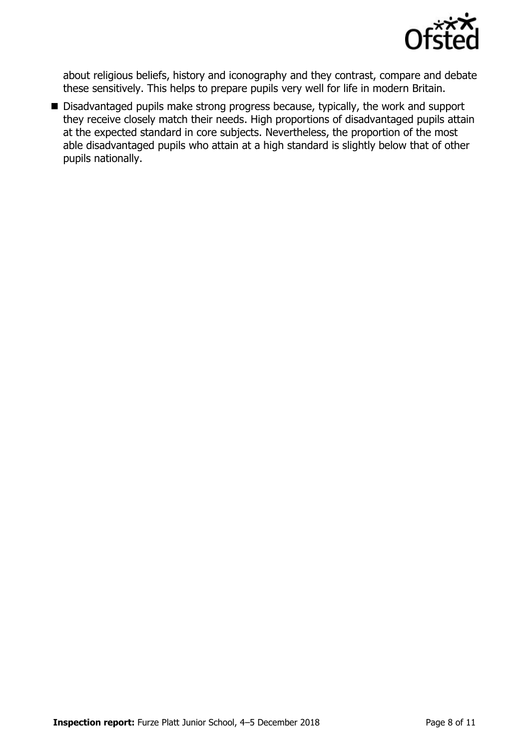

about religious beliefs, history and iconography and they contrast, compare and debate these sensitively. This helps to prepare pupils very well for life in modern Britain.

Disadvantaged pupils make strong progress because, typically, the work and support they receive closely match their needs. High proportions of disadvantaged pupils attain at the expected standard in core subjects. Nevertheless, the proportion of the most able disadvantaged pupils who attain at a high standard is slightly below that of other pupils nationally.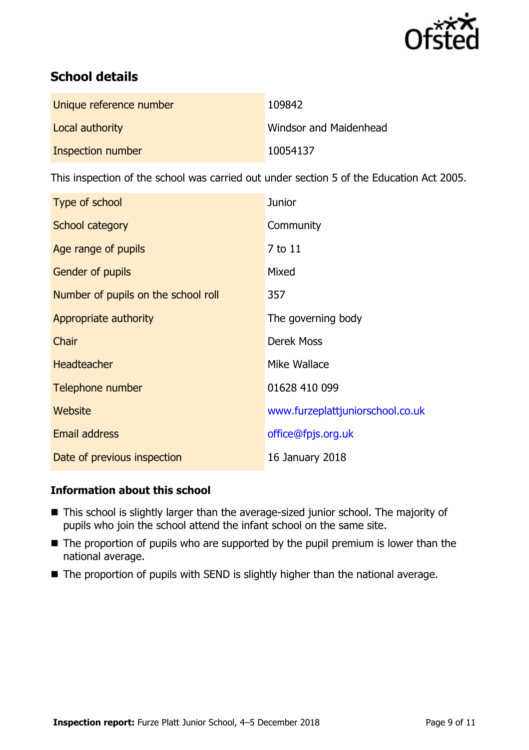

# **School details**

| Unique reference number | 109842                 |
|-------------------------|------------------------|
| Local authority         | Windsor and Maidenhead |
| Inspection number       | 10054137               |

This inspection of the school was carried out under section 5 of the Education Act 2005.

| Type of school                      | <b>Junior</b>                    |
|-------------------------------------|----------------------------------|
| School category                     | Community                        |
| Age range of pupils                 | 7 to 11                          |
| <b>Gender of pupils</b>             | Mixed                            |
| Number of pupils on the school roll | 357                              |
| Appropriate authority               | The governing body               |
| Chair                               | <b>Derek Moss</b>                |
| <b>Headteacher</b>                  | Mike Wallace                     |
| Telephone number                    | 01628 410 099                    |
| Website                             | www.furzeplattjuniorschool.co.uk |
| Email address                       | office@fpjs.org.uk               |
| Date of previous inspection         | 16 January 2018                  |

### **Information about this school**

- This school is slightly larger than the average-sized junior school. The majority of pupils who join the school attend the infant school on the same site.
- The proportion of pupils who are supported by the pupil premium is lower than the national average.
- The proportion of pupils with SEND is slightly higher than the national average.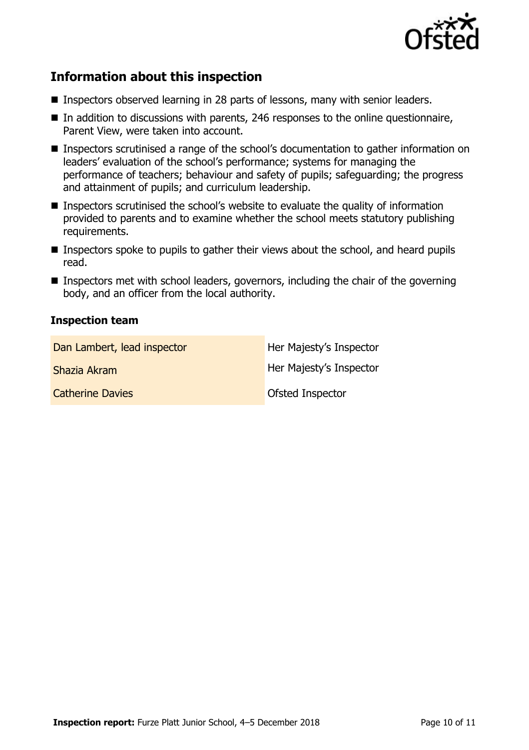

# **Information about this inspection**

- Inspectors observed learning in 28 parts of lessons, many with senior leaders.
- In addition to discussions with parents, 246 responses to the online questionnaire, Parent View, were taken into account.
- Inspectors scrutinised a range of the school's documentation to gather information on leaders' evaluation of the school's performance; systems for managing the performance of teachers; behaviour and safety of pupils; safeguarding; the progress and attainment of pupils; and curriculum leadership.
- Inspectors scrutinised the school's website to evaluate the quality of information provided to parents and to examine whether the school meets statutory publishing requirements.
- **Inspectors spoke to pupils to gather their views about the school, and heard pupils** read.
- Inspectors met with school leaders, governors, including the chair of the governing body, and an officer from the local authority.

#### **Inspection team**

| Dan Lambert, lead inspector | Her Majesty's Inspector |
|-----------------------------|-------------------------|
| Shazia Akram                | Her Majesty's Inspector |
| <b>Catherine Davies</b>     | Ofsted Inspector        |